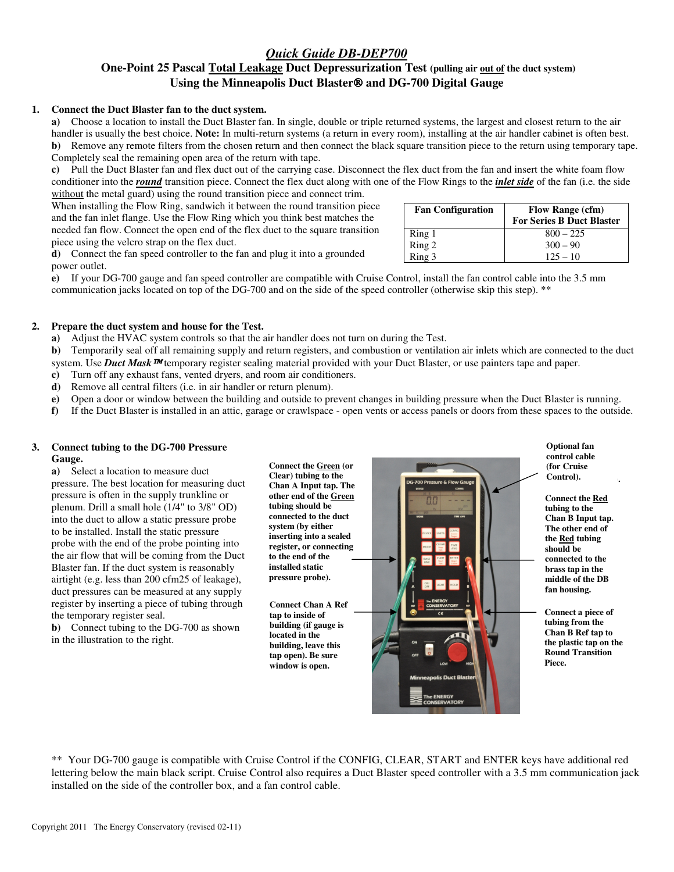# *Quick Guide DB-DEP700*  **One-Point 25 Pascal Total Leakage Duct Depressurization Test (pulling air out of the duct system)**  Using the Minneapolis Duct Blaster<sup>®</sup> and DG-700 Digital Gauge

#### **1. Connect the Duct Blaster fan to the duct system.**

**a)** Choose a location to install the Duct Blaster fan. In single, double or triple returned systems, the largest and closest return to the air handler is usually the best choice. **Note:** In multi-return systems (a return in every room), installing at the air handler cabinet is often best. **b)** Remove any remote filters from the chosen return and then connect the black square transition piece to the return using temporary tape. Completely seal the remaining open area of the return with tape.

**c)** Pull the Duct Blaster fan and flex duct out of the carrying case. Disconnect the flex duct from the fan and insert the white foam flow conditioner into the *round* transition piece. Connect the flex duct along with one of the Flow Rings to the *inlet side* of the fan (i.e. the side without the metal guard) using the round transition piece and connect trim.

When installing the Flow Ring, sandwich it between the round transition piece and the fan inlet flange. Use the Flow Ring which you think best matches the needed fan flow. Connect the open end of the flex duct to the square transition piece using the velcro strap on the flex duct.

**d)** Connect the fan speed controller to the fan and plug it into a grounded power outlet.

| <b>Fan Configuration</b>   | <b>Flow Range (cfm)</b><br><b>For Series B Duct Blaster</b> |
|----------------------------|-------------------------------------------------------------|
|                            | $800 - 225$                                                 |
|                            | $300 - 90$                                                  |
| Ring 1<br>Ring 2<br>Ring 3 | $125 - 10$                                                  |

**e)** If your DG-700 gauge and fan speed controller are compatible with Cruise Control, install the fan control cable into the 3.5 mm communication jacks located on top of the DG-700 and on the side of the speed controller (otherwise skip this step). \*\*

# **2. Prepare the duct system and house for the Test.**

**a)** Adjust the HVAC system controls so that the air handler does not turn on during the Test.

**b**) Temporarily seal off all remaining supply and return registers, and combustion or ventilation air inlets which are connected to the duct system. Use **Duct Mask <sup>TM</sup>** temporary register sealing material provided with your Duct Blaster, or use painters tape and paper.

**c)** Turn off any exhaust fans, vented dryers, and room air conditioners.

**d)** Remove all central filters (i.e. in air handler or return plenum).

**e)** Open a door or window between the building and outside to prevent changes in building pressure when the Duct Blaster is running.

**f)** If the Duct Blaster is installed in an attic, garage or crawlspace - open vents or access panels or doors from these spaces to the outside.

# **3. Connect tubing to the DG-700 Pressure Gauge.**

**a)** Select a location to measure duct pressure. The best location for measuring duct pressure is often in the supply trunkline or plenum. Drill a small hole (1/4" to 3/8" OD) into the duct to allow a static pressure probe to be installed. Install the static pressure probe with the end of the probe pointing into the air flow that will be coming from the Duct Blaster fan. If the duct system is reasonably airtight (e.g. less than 200 cfm25 of leakage), duct pressures can be measured at any supply register by inserting a piece of tubing through the temporary register seal.

**b)** Connect tubing to the DG-700 as shown in the illustration to the right.

**Connect the Green (or Clear) tubing to the Chan A Input tap. The other end of the Green tubing should be connected to the duct system (by either inserting into a sealed register, or connecting to the end of the installed static pressure probe).** 

**Connect Chan A Ref tap to inside of building (if gauge is located in the building, leave this tap open). Be sure window is open.**



**Optional fan control cable control cable (for Cruise (for Cruise Control). Control).Optional fan** 

**Connect the Red tubing to the Chan B Input tap. The other end of the Red tubing should be connected to the brass tap in the middle of the DB fan housing.** 

**Connect a piece of tubing from the Chan B Ref tap to the plastic tap on the Round Transition Piece.** 

\*\* Your DG-700 gauge is compatible with Cruise Control if the CONFIG, CLEAR, START and ENTER keys have additional red lettering below the main black script. Cruise Control also requires a Duct Blaster speed controller with a 3.5 mm communication jack installed on the side of the controller box, and a fan control cable.